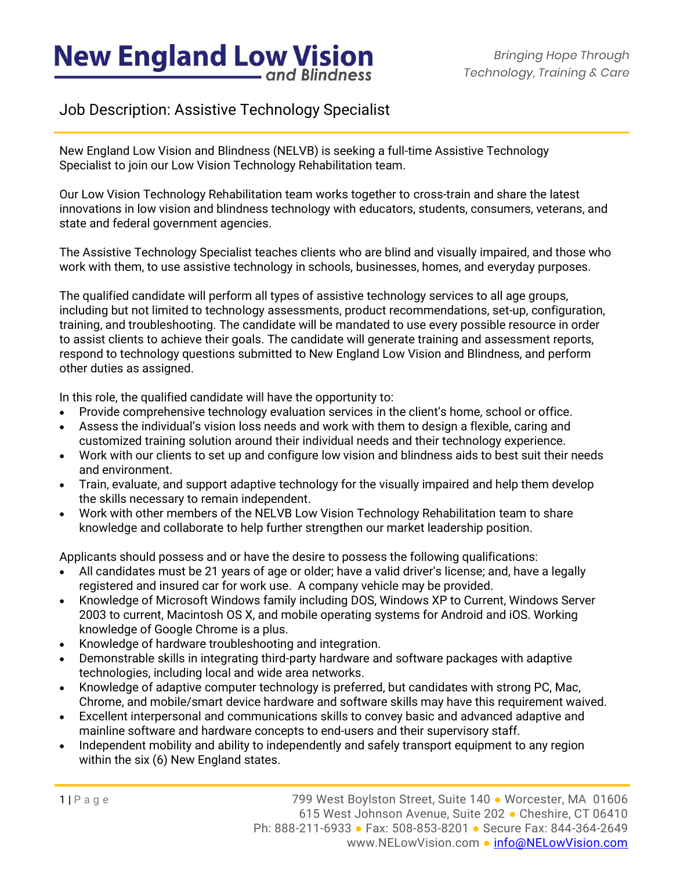# **New England Low Vision** and Blindness

### Job Description: Assistive Technology Specialist

New England Low Vision and Blindness (NELVB) is seeking a full-time Assistive Technology Specialist to join our Low Vision Technology Rehabilitation team.

Our Low Vision Technology Rehabilitation team works together to cross-train and share the latest innovations in low vision and blindness technology with educators, students, consumers, veterans, and state and federal government agencies.

The Assistive Technology Specialist teaches clients who are blind and visually impaired, and those who work with them, to use assistive technology in schools, businesses, homes, and everyday purposes.

The qualified candidate will perform all types of assistive technology services to all age groups, including but not limited to technology assessments, product recommendations, set-up, configuration, training, and troubleshooting. The candidate will be mandated to use every possible resource in order to assist clients to achieve their goals. The candidate will generate training and assessment reports, respond to technology questions submitted to New England Low Vision and Blindness, and perform other duties as assigned.

In this role, the qualified candidate will have the opportunity to:

- Provide comprehensive technology evaluation services in the client's home, school or office.
- Assess the individual's vision loss needs and work with them to design a flexible, caring and customized training solution around their individual needs and their technology experience.
- Work with our clients to set up and configure low vision and blindness aids to best suit their needs and environment.
- Train, evaluate, and support adaptive technology for the visually impaired and help them develop the skills necessary to remain independent.
- Work with other members of the NELVB Low Vision Technology Rehabilitation team to share knowledge and collaborate to help further strengthen our market leadership position.

Applicants should possess and or have the desire to possess the following qualifications:

- All candidates must be 21 years of age or older; have a valid driver's license; and, have a legally registered and insured car for work use. A company vehicle may be provided.
- Knowledge of Microsoft Windows family including DOS, Windows XP to Current, Windows Server 2003 to current, Macintosh OS X, and mobile operating systems for Android and iOS. Working knowledge of Google Chrome is a plus.
- Knowledge of hardware troubleshooting and integration.
- Demonstrable skills in integrating third-party hardware and software packages with adaptive technologies, including local and wide area networks.
- Knowledge of adaptive computer technology is preferred, but candidates with strong PC, Mac, Chrome, and mobile/smart device hardware and software skills may have this requirement waived.
- Excellent interpersonal and communications skills to convey basic and advanced adaptive and mainline software and hardware concepts to end-users and their supervisory staff.
- Independent mobility and ability to independently and safely transport equipment to any region within the six (6) New England states.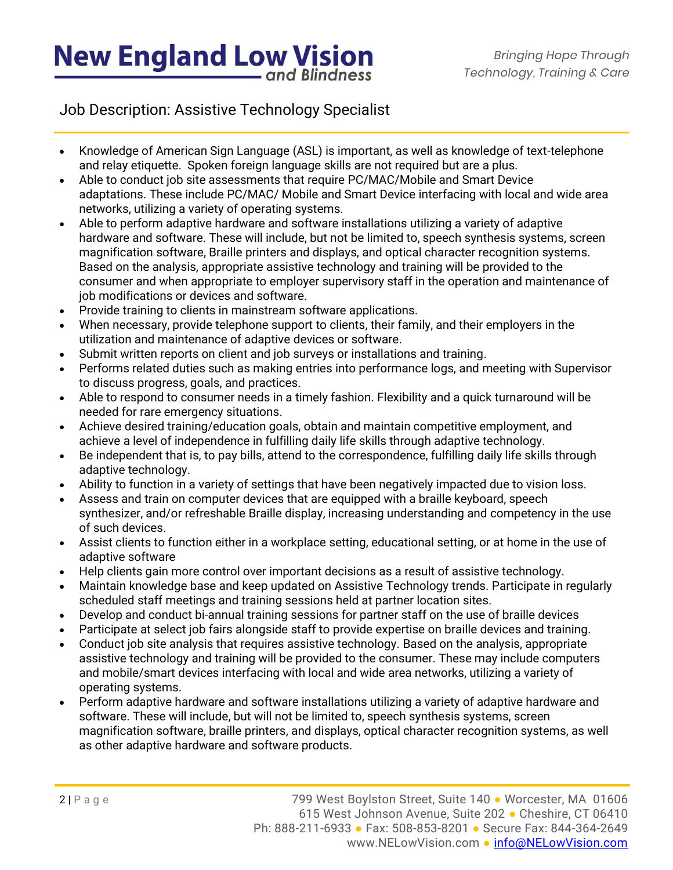# **New England Low Vision** and Blindness

Job Description: Assistive Technology Specialist

- Knowledge of American Sign Language (ASL) is important, as well as knowledge of text-telephone and relay etiquette. Spoken foreign language skills are not required but are a plus.
- Able to conduct job site assessments that require PC/MAC/Mobile and Smart Device adaptations. These include PC/MAC/ Mobile and Smart Device interfacing with local and wide area networks, utilizing a variety of operating systems.
- Able to perform adaptive hardware and software installations utilizing a variety of adaptive hardware and software. These will include, but not be limited to, speech synthesis systems, screen magnification software, Braille printers and displays, and optical character recognition systems. Based on the analysis, appropriate assistive technology and training will be provided to the consumer and when appropriate to employer supervisory staff in the operation and maintenance of job modifications or devices and software.
- Provide training to clients in mainstream software applications.
- When necessary, provide telephone support to clients, their family, and their employers in the utilization and maintenance of adaptive devices or software.
- Submit written reports on client and job surveys or installations and training.
- Performs related duties such as making entries into performance logs, and meeting with Supervisor to discuss progress, goals, and practices.
- Able to respond to consumer needs in a timely fashion. Flexibility and a quick turnaround will be needed for rare emergency situations.
- Achieve desired training/education goals, obtain and maintain competitive employment, and achieve a level of independence in fulfilling daily life skills through adaptive technology.
- Be independent that is, to pay bills, attend to the correspondence, fulfilling daily life skills through adaptive technology.
- Ability to function in a variety of settings that have been negatively impacted due to vision loss.
- Assess and train on computer devices that are equipped with a braille keyboard, speech synthesizer, and/or refreshable Braille display, increasing understanding and competency in the use of such devices.
- Assist clients to function either in a workplace setting, educational setting, or at home in the use of adaptive software
- Help clients gain more control over important decisions as a result of assistive technology.
- Maintain knowledge base and keep updated on Assistive Technology trends. Participate in regularly scheduled staff meetings and training sessions held at partner location sites.
- Develop and conduct bi-annual training sessions for partner staff on the use of braille devices
- Participate at select job fairs alongside staff to provide expertise on braille devices and training.
- Conduct job site analysis that requires assistive technology. Based on the analysis, appropriate assistive technology and training will be provided to the consumer. These may include computers and mobile/smart devices interfacing with local and wide area networks, utilizing a variety of operating systems.
- Perform adaptive hardware and software installations utilizing a variety of adaptive hardware and software. These will include, but will not be limited to, speech synthesis systems, screen magnification software, braille printers, and displays, optical character recognition systems, as well as other adaptive hardware and software products.